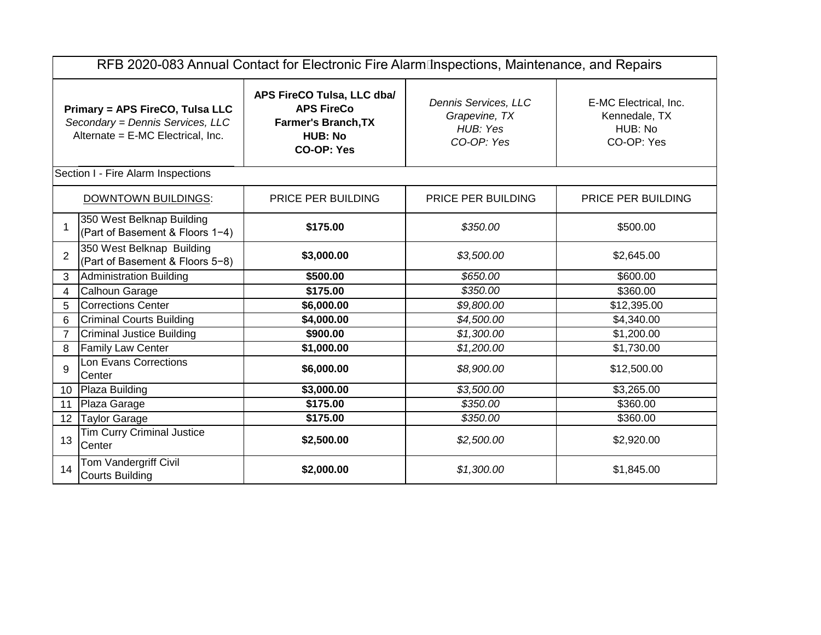| RFB 2020-083 Annual Contact for Electronic Fire Alarm Inspections, Maintenance, and Repairs |                                                                                                          |                                                                                                                      |                                                                 |                                                                 |  |  |  |
|---------------------------------------------------------------------------------------------|----------------------------------------------------------------------------------------------------------|----------------------------------------------------------------------------------------------------------------------|-----------------------------------------------------------------|-----------------------------------------------------------------|--|--|--|
|                                                                                             | Primary = APS FireCO, Tulsa LLC<br>Secondary = Dennis Services, LLC<br>Alternate = E-MC Electrical, Inc. | APS FireCO Tulsa, LLC dba/<br><b>APS FireCo</b><br><b>Farmer's Branch, TX</b><br><b>HUB: No</b><br><b>CO-OP: Yes</b> | Dennis Services, LLC<br>Grapevine, TX<br>HUB: Yes<br>CO-OP: Yes | E-MC Electrical, Inc.<br>Kennedale, TX<br>HUB: No<br>CO-OP: Yes |  |  |  |
|                                                                                             | Section I - Fire Alarm Inspections                                                                       |                                                                                                                      |                                                                 |                                                                 |  |  |  |
|                                                                                             | <b>DOWNTOWN BUILDINGS:</b>                                                                               | PRICE PER BUILDING                                                                                                   | PRICE PER BUILDING                                              | PRICE PER BUILDING                                              |  |  |  |
| 1                                                                                           | 350 West Belknap Building<br>(Part of Basement & Floors 1-4)                                             | \$175.00                                                                                                             | \$350.00                                                        | \$500.00                                                        |  |  |  |
| $\overline{2}$                                                                              | 350 West Belknap Building<br>(Part of Basement & Floors 5-8)                                             | \$3,000.00                                                                                                           | \$3,500.00                                                      | \$2,645.00                                                      |  |  |  |
| 3                                                                                           | Administration Building                                                                                  | \$500.00                                                                                                             | \$650.00                                                        | \$600.00                                                        |  |  |  |
| 4                                                                                           | Calhoun Garage                                                                                           | \$175.00                                                                                                             | \$350.00                                                        | \$360.00                                                        |  |  |  |
| 5                                                                                           | <b>Corrections Center</b>                                                                                | \$6,000.00                                                                                                           | \$9,800.00                                                      | \$12,395.00                                                     |  |  |  |
| 6                                                                                           | <b>Criminal Courts Building</b>                                                                          | \$4,000.00                                                                                                           | \$4,500.00                                                      | \$4,340.00                                                      |  |  |  |
| $\overline{7}$                                                                              | Criminal Justice Building                                                                                | \$900.00                                                                                                             | \$1,300.00                                                      | \$1,200.00                                                      |  |  |  |
| 8                                                                                           | <b>Family Law Center</b>                                                                                 | \$1,000.00                                                                                                           | \$1,200.00                                                      | \$1,730.00                                                      |  |  |  |
| 9                                                                                           | Lon Evans Corrections<br>Center                                                                          | \$6,000.00                                                                                                           | \$8,900.00                                                      | \$12,500.00                                                     |  |  |  |
| 10                                                                                          | Plaza Building                                                                                           | \$3,000.00                                                                                                           | \$3,500.00                                                      | \$3,265.00                                                      |  |  |  |
| 11                                                                                          | Plaza Garage                                                                                             | \$175.00                                                                                                             | \$350.00                                                        | \$360.00                                                        |  |  |  |
| 12 <sup>1</sup>                                                                             | <b>Taylor Garage</b>                                                                                     | \$175.00                                                                                                             | \$350.00                                                        | \$360.00                                                        |  |  |  |
| 13                                                                                          | <b>Tim Curry Criminal Justice</b><br>Center                                                              | \$2,500.00                                                                                                           | \$2,500.00                                                      | \$2,920.00                                                      |  |  |  |
| 14                                                                                          | Tom Vandergriff Civil<br><b>Courts Building</b>                                                          | \$2,000.00                                                                                                           | \$1,300.00                                                      | \$1,845.00                                                      |  |  |  |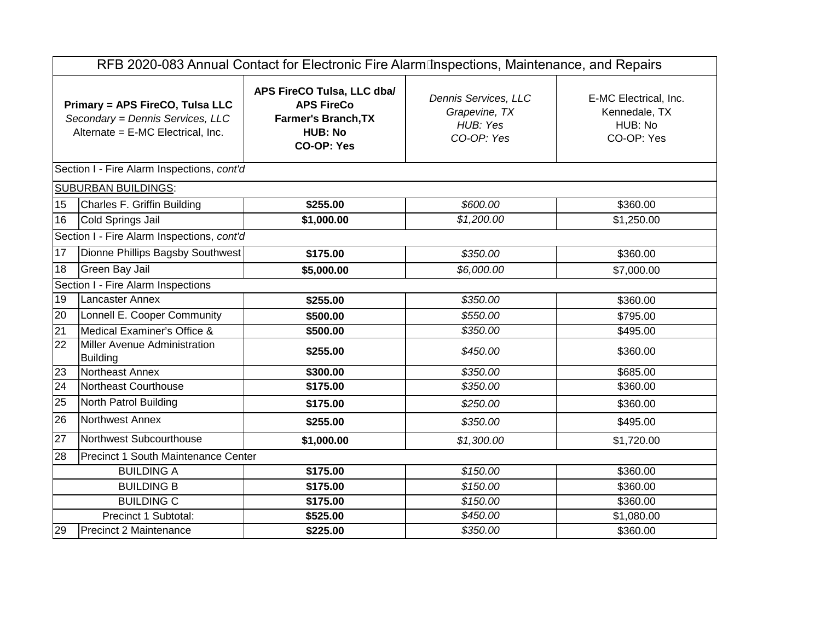| RFB 2020-083 Annual Contact for Electronic Fire Alarm Inspections, Maintenance, and Repairs |                                                                                                          |                                                                                                               |                                                                 |                                                                 |  |  |  |
|---------------------------------------------------------------------------------------------|----------------------------------------------------------------------------------------------------------|---------------------------------------------------------------------------------------------------------------|-----------------------------------------------------------------|-----------------------------------------------------------------|--|--|--|
|                                                                                             | Primary = APS FireCO, Tulsa LLC<br>Secondary = Dennis Services, LLC<br>Alternate = E-MC Electrical, Inc. | APS FireCO Tulsa, LLC dba/<br><b>APS FireCo</b><br>Farmer's Branch, TX<br><b>HUB: No</b><br><b>CO-OP: Yes</b> | Dennis Services, LLC<br>Grapevine, TX<br>HUB: Yes<br>CO-OP: Yes | E-MC Electrical, Inc.<br>Kennedale, TX<br>HUB: No<br>CO-OP: Yes |  |  |  |
|                                                                                             | Section I - Fire Alarm Inspections, cont'd                                                               |                                                                                                               |                                                                 |                                                                 |  |  |  |
|                                                                                             | <b>SUBURBAN BUILDINGS:</b>                                                                               |                                                                                                               |                                                                 |                                                                 |  |  |  |
| 15                                                                                          | Charles F. Griffin Building                                                                              | \$255.00                                                                                                      | \$600.00                                                        | \$360.00                                                        |  |  |  |
| 16                                                                                          | Cold Springs Jail                                                                                        | \$1,000.00                                                                                                    | \$1,200.00                                                      | \$1,250.00                                                      |  |  |  |
|                                                                                             | Section I - Fire Alarm Inspections, cont'd                                                               |                                                                                                               |                                                                 |                                                                 |  |  |  |
| 17                                                                                          | Dionne Phillips Bagsby Southwest                                                                         | \$175.00                                                                                                      | \$350.00                                                        | \$360.00                                                        |  |  |  |
| 18                                                                                          | Green Bay Jail                                                                                           | \$5,000.00                                                                                                    | \$6,000.00                                                      | \$7,000.00                                                      |  |  |  |
|                                                                                             | Section I - Fire Alarm Inspections                                                                       |                                                                                                               |                                                                 |                                                                 |  |  |  |
| 19                                                                                          | <b>Lancaster Annex</b>                                                                                   | \$255.00                                                                                                      | \$350.00                                                        | \$360.00                                                        |  |  |  |
| 20                                                                                          | Lonnell E. Cooper Community                                                                              | \$500.00                                                                                                      | \$550.00                                                        | \$795.00                                                        |  |  |  |
| 21                                                                                          | Medical Examiner's Office &                                                                              | \$500.00                                                                                                      | \$350.00                                                        | \$495.00                                                        |  |  |  |
| 22                                                                                          | Miller Avenue Administration<br><b>Building</b>                                                          | \$255.00                                                                                                      | \$450.00                                                        | \$360.00                                                        |  |  |  |
| 23                                                                                          | Northeast Annex                                                                                          | \$300.00                                                                                                      | \$350.00                                                        | \$685.00                                                        |  |  |  |
| 24                                                                                          | Northeast Courthouse                                                                                     | \$175.00                                                                                                      | \$350.00                                                        | \$360.00                                                        |  |  |  |
| 25                                                                                          | North Patrol Building                                                                                    | \$175.00                                                                                                      | \$250.00                                                        | \$360.00                                                        |  |  |  |
| 26                                                                                          | Northwest Annex                                                                                          | \$255.00                                                                                                      | \$350.00                                                        | \$495.00                                                        |  |  |  |
| $\overline{27}$                                                                             | Northwest Subcourthouse                                                                                  | \$1,000.00                                                                                                    | \$1,300.00                                                      | \$1,720.00                                                      |  |  |  |
| 28                                                                                          | Precinct 1 South Maintenance Center                                                                      |                                                                                                               |                                                                 |                                                                 |  |  |  |
|                                                                                             | <b>BUILDING A</b>                                                                                        | \$175.00                                                                                                      | \$150.00                                                        | \$360.00                                                        |  |  |  |
|                                                                                             | <b>BUILDING B</b>                                                                                        | \$175.00                                                                                                      | \$150.00                                                        | \$360.00                                                        |  |  |  |
| <b>BUILDING C</b><br>\$175.00<br>\$150.00<br>\$360.00                                       |                                                                                                          |                                                                                                               |                                                                 |                                                                 |  |  |  |
|                                                                                             | Precinct 1 Subtotal:                                                                                     | \$525.00                                                                                                      | \$450.00                                                        | \$1,080.00                                                      |  |  |  |
| 29                                                                                          | <b>Precinct 2 Maintenance</b>                                                                            | \$225.00                                                                                                      | \$350.00                                                        | \$360.00                                                        |  |  |  |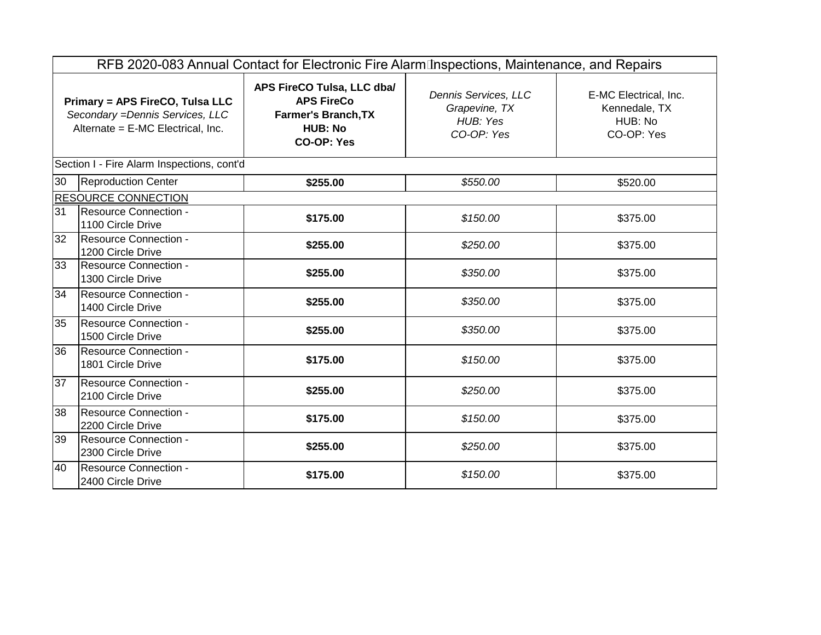|                                                                                                          | RFB 2020-083 Annual Contact for Electronic Fire Alarm Inspections, Maintenance, and Repairs |                                                                                                               |                                                                 |                                                                 |  |  |  |  |
|----------------------------------------------------------------------------------------------------------|---------------------------------------------------------------------------------------------|---------------------------------------------------------------------------------------------------------------|-----------------------------------------------------------------|-----------------------------------------------------------------|--|--|--|--|
| Primary = APS FireCO, Tulsa LLC<br>Secondary = Dennis Services, LLC<br>Alternate = E-MC Electrical, Inc. |                                                                                             | APS FireCO Tulsa, LLC dba/<br><b>APS FireCo</b><br>Farmer's Branch, TX<br><b>HUB: No</b><br><b>CO-OP: Yes</b> | Dennis Services, LLC<br>Grapevine, TX<br>HUB: Yes<br>CO-OP: Yes | E-MC Electrical, Inc.<br>Kennedale, TX<br>HUB: No<br>CO-OP: Yes |  |  |  |  |
|                                                                                                          | Section I - Fire Alarm Inspections, cont'd                                                  |                                                                                                               |                                                                 |                                                                 |  |  |  |  |
| 30                                                                                                       | <b>Reproduction Center</b>                                                                  | \$255.00                                                                                                      | \$550.00                                                        | \$520.00                                                        |  |  |  |  |
|                                                                                                          | <b>RESOURCE CONNECTION</b>                                                                  |                                                                                                               |                                                                 |                                                                 |  |  |  |  |
| 31                                                                                                       | <b>Resource Connection -</b><br>1100 Circle Drive                                           | \$175.00                                                                                                      | \$150.00                                                        | \$375.00                                                        |  |  |  |  |
| 32                                                                                                       | Resource Connection -<br>1200 Circle Drive                                                  | \$255.00                                                                                                      | \$250.00                                                        | \$375.00                                                        |  |  |  |  |
| 33                                                                                                       | Resource Connection -<br>1300 Circle Drive                                                  | \$255.00                                                                                                      | \$350.00                                                        | \$375.00                                                        |  |  |  |  |
| 34                                                                                                       | Resource Connection -<br>1400 Circle Drive                                                  | \$255.00                                                                                                      | \$350.00                                                        | \$375.00                                                        |  |  |  |  |
| 35                                                                                                       | <b>Resource Connection -</b><br>1500 Circle Drive                                           | \$255.00                                                                                                      | \$350.00                                                        | \$375.00                                                        |  |  |  |  |
| 36                                                                                                       | Resource Connection -<br>1801 Circle Drive                                                  | \$175.00                                                                                                      | \$150.00                                                        | \$375.00                                                        |  |  |  |  |
| 37                                                                                                       | Resource Connection -<br>2100 Circle Drive                                                  | \$255.00                                                                                                      | \$250.00                                                        | \$375.00                                                        |  |  |  |  |
| 38                                                                                                       | Resource Connection -<br>2200 Circle Drive                                                  | \$175.00                                                                                                      | \$150.00                                                        | \$375.00                                                        |  |  |  |  |
| 39                                                                                                       | Resource Connection -<br>2300 Circle Drive                                                  | \$255.00                                                                                                      | \$250.00                                                        | \$375.00                                                        |  |  |  |  |
| 40                                                                                                       | <b>Resource Connection -</b><br>2400 Circle Drive                                           | \$175.00                                                                                                      | \$150.00                                                        | \$375.00                                                        |  |  |  |  |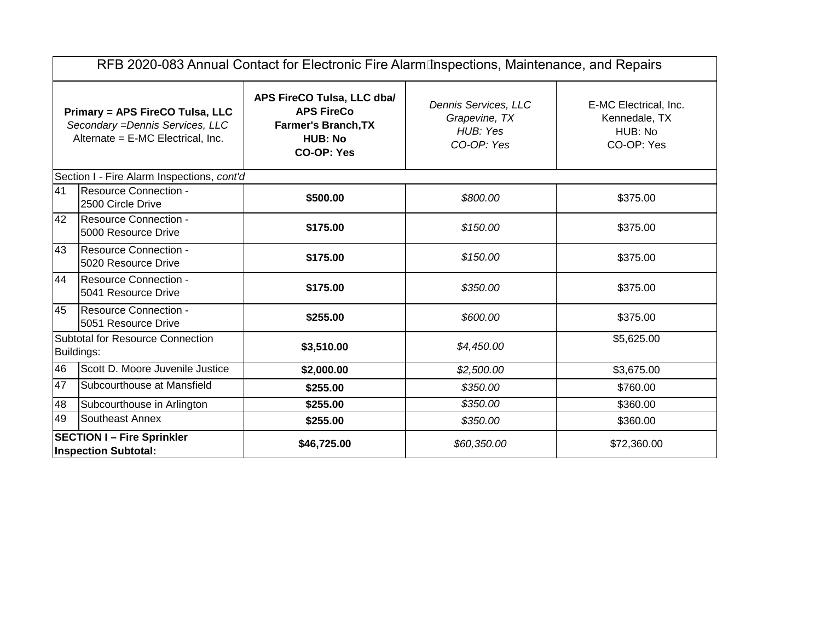| RFB 2020-083 Annual Contact for Electronic Fire Alarm Inspections, Maintenance, and Repairs              |                                                                                                             |                                                                                                                      |                                                                 |                                                                 |  |  |  |
|----------------------------------------------------------------------------------------------------------|-------------------------------------------------------------------------------------------------------------|----------------------------------------------------------------------------------------------------------------------|-----------------------------------------------------------------|-----------------------------------------------------------------|--|--|--|
| Primary = APS FireCO Tulsa, LLC<br>Secondary = Dennis Services, LLC<br>Alternate = E-MC Electrical, Inc. |                                                                                                             | APS FireCO Tulsa, LLC dba/<br><b>APS FireCo</b><br><b>Farmer's Branch, TX</b><br><b>HUB: No</b><br><b>CO-OP: Yes</b> | Dennis Services, LLC<br>Grapevine, TX<br>HUB: Yes<br>CO-OP: Yes | E-MC Electrical, Inc.<br>Kennedale, TX<br>HUB: No<br>CO-OP: Yes |  |  |  |
|                                                                                                          | Section I - Fire Alarm Inspections, cont'd                                                                  |                                                                                                                      |                                                                 |                                                                 |  |  |  |
| 41                                                                                                       | Resource Connection -<br>2500 Circle Drive                                                                  | \$500.00                                                                                                             | \$800.00                                                        | \$375.00                                                        |  |  |  |
| 42                                                                                                       | Resource Connection -<br>5000 Resource Drive                                                                | \$175.00                                                                                                             | \$150.00                                                        | \$375.00                                                        |  |  |  |
| 43                                                                                                       | Resource Connection -<br>5020 Resource Drive                                                                | \$175.00                                                                                                             | \$150.00                                                        | \$375.00                                                        |  |  |  |
| 44                                                                                                       | Resource Connection -<br>5041 Resource Drive                                                                | \$175.00                                                                                                             | \$350.00                                                        | \$375.00                                                        |  |  |  |
| 45                                                                                                       | <b>Resource Connection -</b><br>5051 Resource Drive                                                         | \$255.00                                                                                                             | \$600.00                                                        | \$375.00                                                        |  |  |  |
|                                                                                                          | Subtotal for Resource Connection<br>Buildings:                                                              | \$3,510.00                                                                                                           | \$4,450.00                                                      | \$5,625.00                                                      |  |  |  |
| 46                                                                                                       | Scott D. Moore Juvenile Justice                                                                             | \$2,000.00                                                                                                           | \$2,500.00                                                      | \$3,675.00                                                      |  |  |  |
| 47                                                                                                       | Subcourthouse at Mansfield                                                                                  | \$255.00                                                                                                             | \$350.00                                                        | \$760.00                                                        |  |  |  |
| 48                                                                                                       | Subcourthouse in Arlington                                                                                  | \$255.00                                                                                                             | \$350.00                                                        | \$360.00                                                        |  |  |  |
| 49                                                                                                       | Southeast Annex                                                                                             | \$255.00                                                                                                             | \$350.00                                                        | \$360.00                                                        |  |  |  |
|                                                                                                          | <b>SECTION I-Fire Sprinkler</b><br>\$46,725.00<br>\$60,350.00<br>\$72,360.00<br><b>Inspection Subtotal:</b> |                                                                                                                      |                                                                 |                                                                 |  |  |  |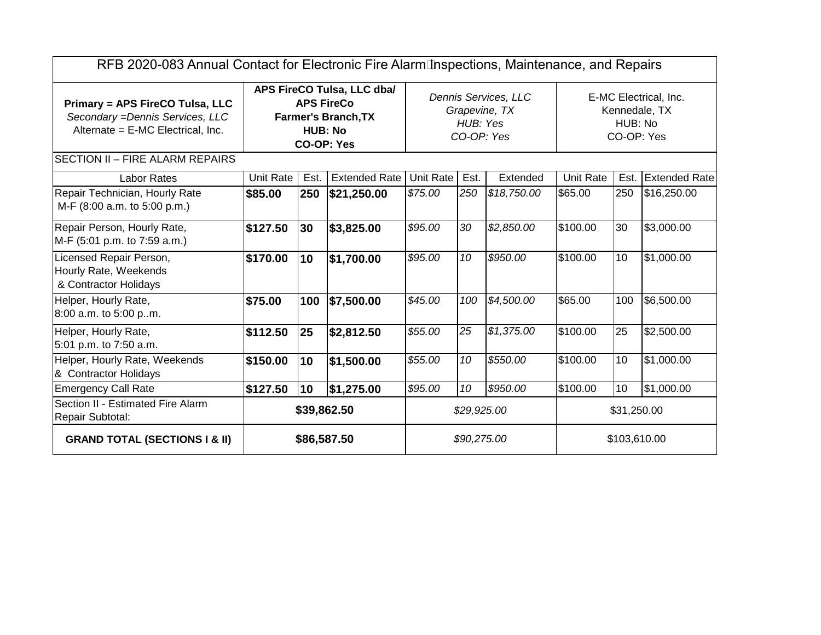| RFB 2020-083 Annual Contact for Electronic Fire Alarm Inspections, Maintenance, and Repairs                     |                                                                                                                      |      |                                                                 |                  |                                                                 |             |                  |      |                      |
|-----------------------------------------------------------------------------------------------------------------|----------------------------------------------------------------------------------------------------------------------|------|-----------------------------------------------------------------|------------------|-----------------------------------------------------------------|-------------|------------------|------|----------------------|
| <b>Primary = APS FireCO Tulsa, LLC</b><br>Secondary = Dennis Services, LLC<br>Alternate = E-MC Electrical, Inc. | APS FireCO Tulsa, LLC dba/<br><b>APS FireCo</b><br><b>Farmer's Branch, TX</b><br><b>HUB: No</b><br><b>CO-OP: Yes</b> |      | Dennis Services, LLC<br>Grapevine, TX<br>HUB: Yes<br>CO-OP: Yes |                  | E-MC Electrical, Inc.<br>Kennedale, TX<br>HUB: No<br>CO-OP: Yes |             |                  |      |                      |
| <b>SECTION II - FIRE ALARM REPAIRS</b>                                                                          |                                                                                                                      |      |                                                                 |                  |                                                                 |             |                  |      |                      |
| <b>Labor Rates</b>                                                                                              | <b>Unit Rate</b>                                                                                                     | Est. | <b>Extended Rate</b>                                            | <b>Unit Rate</b> | Est.                                                            | Extended    | <b>Unit Rate</b> | Est. | <b>Extended Rate</b> |
| Repair Technician, Hourly Rate<br>M-F (8:00 a.m. to 5:00 p.m.)                                                  | \$85.00                                                                                                              | 250  | \$21,250.00                                                     | \$75.00          | 250                                                             | \$18,750.00 | \$65.00          | 250  | \$16,250.00          |
| Repair Person, Hourly Rate,<br>M-F (5:01 p.m. to 7:59 a.m.)                                                     | \$127.50                                                                                                             | 30   | \$3,825.00                                                      | \$95.00          | 30                                                              | \$2,850.00  | \$100.00         | 30   | \$3,000.00           |
| Licensed Repair Person,<br>Hourly Rate, Weekends<br>& Contractor Holidays                                       | \$170.00                                                                                                             | 10   | \$1,700.00                                                      | \$95.00          | 10                                                              | \$950.00    | \$100.00         | 10   | $\sqrt{31,000.00}$   |
| Helper, Hourly Rate,<br>8:00 a.m. to 5:00 pm.                                                                   | \$75.00                                                                                                              | 100  | \$7,500.00                                                      | \$45.00          | 100                                                             | \$4,500.00  | \$65.00          | 100  | \$6,500.00           |
| Helper, Hourly Rate,<br>5:01 p.m. to 7:50 a.m.                                                                  | \$112.50                                                                                                             | 25   | \$2,812.50                                                      | \$55.00          | 25                                                              | \$1,375.00  | \$100.00         | 25   | \$2,500.00           |
| Helper, Hourly Rate, Weekends<br>& Contractor Holidays                                                          | \$150.00                                                                                                             | 10   | \$1,500.00                                                      | \$55.00          | 10                                                              | \$550.00    | \$100.00         | 10   | \$1,000.00           |
| <b>Emergency Call Rate</b>                                                                                      | \$127.50                                                                                                             | 10   | \$1,275.00                                                      | \$95.00          | 10                                                              | \$950.00    | \$100.00         | 10   | \$1,000.00           |
| Section II - Estimated Fire Alarm<br>Repair Subtotal:                                                           | \$39,862.50                                                                                                          |      | \$29,925.00                                                     |                  | \$31,250.00                                                     |             |                  |      |                      |
| <b>GRAND TOTAL (SECTIONS I &amp; II)</b>                                                                        | \$86,587.50                                                                                                          |      | \$90,275.00                                                     |                  | \$103,610.00                                                    |             |                  |      |                      |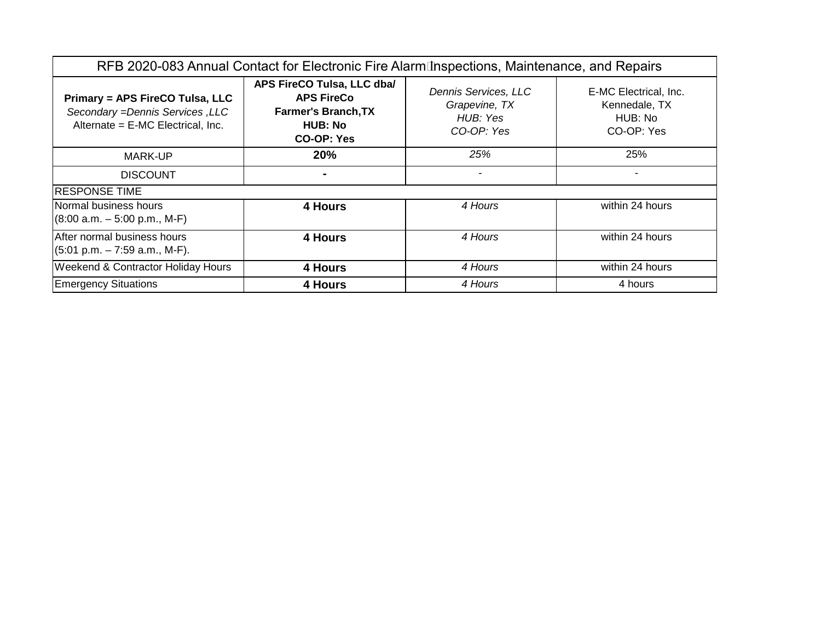| RFB 2020-083 Annual Contact for Electronic Fire Alarm Inspections, Maintenance, and Repairs              |                                                                                                                      |                                                                 |                                                                 |  |  |  |  |
|----------------------------------------------------------------------------------------------------------|----------------------------------------------------------------------------------------------------------------------|-----------------------------------------------------------------|-----------------------------------------------------------------|--|--|--|--|
| Primary = APS FireCO Tulsa, LLC<br>Secondary = Dennis Services, LLC<br>Alternate = E-MC Electrical, Inc. | APS FireCO Tulsa, LLC dba/<br><b>APS FireCo</b><br><b>Farmer's Branch, TX</b><br><b>HUB: No</b><br><b>CO-OP: Yes</b> | Dennis Services, LLC<br>Grapevine, TX<br>HUB: Yes<br>CO-OP: Yes | E-MC Electrical, Inc.<br>Kennedale, TX<br>HUB: No<br>CO-OP: Yes |  |  |  |  |
| <b>MARK-UP</b>                                                                                           | 20%                                                                                                                  | 25%                                                             | 25%                                                             |  |  |  |  |
| <b>DISCOUNT</b>                                                                                          |                                                                                                                      | ٠                                                               |                                                                 |  |  |  |  |
| <b>RESPONSE TIME</b>                                                                                     |                                                                                                                      |                                                                 |                                                                 |  |  |  |  |
| Normal business hours<br>$(8:00 a.m. - 5:00 p.m., M-F)$                                                  | <b>4 Hours</b>                                                                                                       | 4 Hours                                                         | within 24 hours                                                 |  |  |  |  |
| After normal business hours<br>$(5:01 \text{ p.m.} - 7:59 \text{ a.m.}, \text{M-F}).$                    | 4 Hours                                                                                                              | 4 Hours                                                         | within 24 hours                                                 |  |  |  |  |
| <b>Weekend &amp; Contractor Holiday Hours</b>                                                            | 4 Hours                                                                                                              | 4 Hours                                                         | within 24 hours                                                 |  |  |  |  |
| <b>Emergency Situations</b>                                                                              | 4 Hours                                                                                                              | 4 Hours                                                         | 4 hours                                                         |  |  |  |  |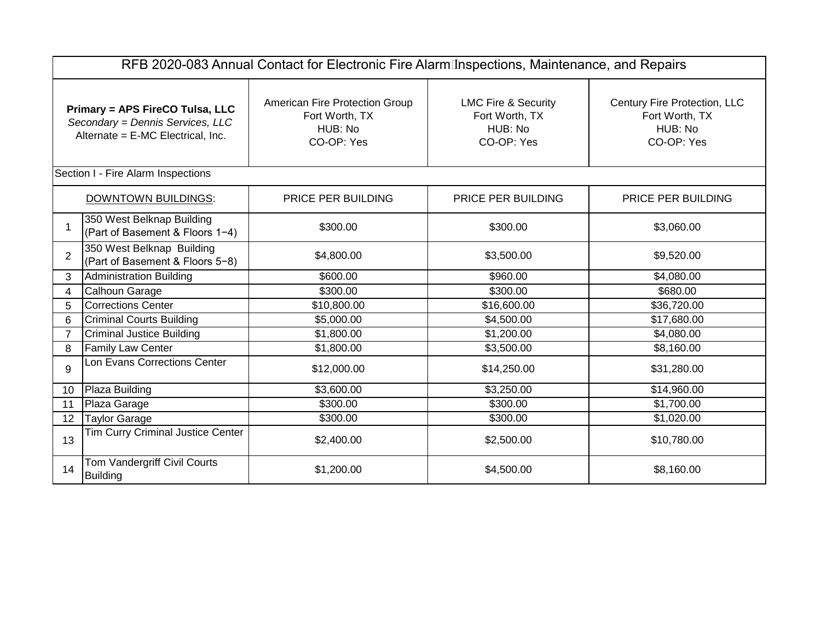|                                                                                                          | RFB 2020-083 Annual Contact for Electronic Fire Alarm Inspections, Maintenance, and Repairs |                                                                                                                                                        |                    |                                                                         |  |  |  |  |
|----------------------------------------------------------------------------------------------------------|---------------------------------------------------------------------------------------------|--------------------------------------------------------------------------------------------------------------------------------------------------------|--------------------|-------------------------------------------------------------------------|--|--|--|--|
| Primary = APS FireCO Tulsa, LLC<br>Secondary = Dennis Services, LLC<br>Alternate = E-MC Electrical, Inc. |                                                                                             | American Fire Protection Group<br><b>LMC Fire &amp; Security</b><br>Fort Worth, TX<br>Fort Worth, TX<br>HUB: No<br>HUB: No<br>CO-OP: Yes<br>CO-OP: Yes |                    | Century Fire Protection, LLC<br>Fort Worth, TX<br>HUB: No<br>CO-OP: Yes |  |  |  |  |
|                                                                                                          | Section I - Fire Alarm Inspections                                                          |                                                                                                                                                        |                    |                                                                         |  |  |  |  |
|                                                                                                          | <b>DOWNTOWN BUILDINGS:</b>                                                                  | PRICE PER BUILDING                                                                                                                                     | PRICE PER BUILDING | PRICE PER BUILDING                                                      |  |  |  |  |
|                                                                                                          | 350 West Belknap Building<br>(Part of Basement & Floors 1-4)                                | \$300.00                                                                                                                                               | \$300.00           | \$3,060.00                                                              |  |  |  |  |
| $\overline{2}$                                                                                           | 350 West Belknap Building<br>(Part of Basement & Floors 5-8)                                | \$4,800.00                                                                                                                                             | \$3,500.00         | \$9,520.00                                                              |  |  |  |  |
| 3                                                                                                        | Administration Building                                                                     | \$600.00                                                                                                                                               | \$960.00           | \$4,080.00                                                              |  |  |  |  |
| 4                                                                                                        | Calhoun Garage                                                                              | \$300.00                                                                                                                                               | \$300.00           | \$680.00                                                                |  |  |  |  |
| 5                                                                                                        | Corrections Center                                                                          | \$10,800.00                                                                                                                                            | \$16,600.00        | \$36,720.00                                                             |  |  |  |  |
| 6                                                                                                        | <b>Criminal Courts Building</b>                                                             | \$5,000.00                                                                                                                                             | \$4,500.00         | \$17,680.00                                                             |  |  |  |  |
| $\overline{7}$                                                                                           | Criminal Justice Building                                                                   | \$1,800.00                                                                                                                                             | \$1,200.00         | \$4,080.00                                                              |  |  |  |  |
| 8                                                                                                        | <b>Family Law Center</b>                                                                    | \$1,800.00                                                                                                                                             | \$3,500.00         | \$8,160.00                                                              |  |  |  |  |
| 9                                                                                                        | Lon Evans Corrections Center                                                                | \$12,000.00                                                                                                                                            | \$14,250.00        | \$31,280.00                                                             |  |  |  |  |
| 10                                                                                                       | Plaza Building                                                                              | \$3,600.00                                                                                                                                             | \$3,250.00         | \$14,960.00                                                             |  |  |  |  |
| 11                                                                                                       | Plaza Garage                                                                                | \$300.00                                                                                                                                               | \$300.00           | \$1,700.00                                                              |  |  |  |  |
| 12                                                                                                       | Taylor Garage                                                                               | \$300.00                                                                                                                                               | \$300.00           | \$1,020.00                                                              |  |  |  |  |
| 13                                                                                                       | Tim Curry Criminal Justice Center                                                           | \$2,400.00                                                                                                                                             | \$2,500.00         | \$10,780.00                                                             |  |  |  |  |
| 14                                                                                                       | Tom Vandergriff Civil Courts<br><b>Building</b>                                             | \$1,200.00                                                                                                                                             | \$4,500.00         | \$8,160.00                                                              |  |  |  |  |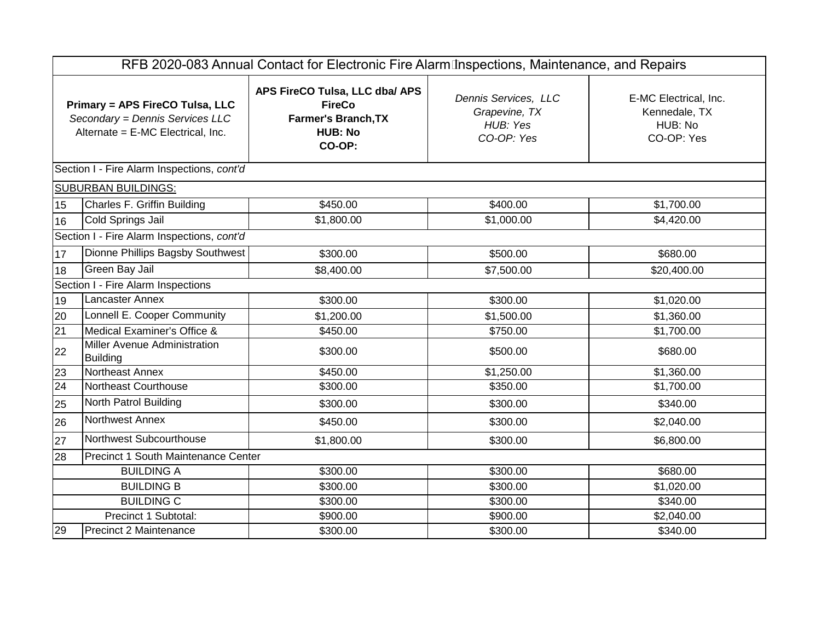| RFB 2020-083 Annual Contact for Electronic Fire Alarm Inspections, Maintenance, and Repairs                    |                                                         |                                                                                                           |                                                                 |                                                                 |  |  |  |
|----------------------------------------------------------------------------------------------------------------|---------------------------------------------------------|-----------------------------------------------------------------------------------------------------------|-----------------------------------------------------------------|-----------------------------------------------------------------|--|--|--|
| <b>Primary = APS FireCO Tulsa, LLC</b><br>Secondary = Dennis Services LLC<br>Alternate = E-MC Electrical, Inc. |                                                         | APS FireCO Tulsa, LLC dba/ APS<br><b>FireCo</b><br><b>Farmer's Branch, TX</b><br><b>HUB: No</b><br>CO-OP: | Dennis Services, LLC<br>Grapevine, TX<br>HUB: Yes<br>CO-OP: Yes | E-MC Electrical, Inc.<br>Kennedale, TX<br>HUB: No<br>CO-OP: Yes |  |  |  |
|                                                                                                                | Section I - Fire Alarm Inspections, cont'd              |                                                                                                           |                                                                 |                                                                 |  |  |  |
|                                                                                                                | <b>SUBURBAN BUILDINGS:</b>                              |                                                                                                           |                                                                 |                                                                 |  |  |  |
| 15                                                                                                             | Charles F. Griffin Building                             | \$450.00                                                                                                  | \$400.00                                                        | \$1,700.00                                                      |  |  |  |
| 16                                                                                                             | Cold Springs Jail                                       | \$1,800.00                                                                                                | \$1,000.00                                                      | \$4,420.00                                                      |  |  |  |
|                                                                                                                | Section I - Fire Alarm Inspections, cont'd              |                                                                                                           |                                                                 |                                                                 |  |  |  |
| 17                                                                                                             | Dionne Phillips Bagsby Southwest                        | \$300.00                                                                                                  | \$500.00                                                        | \$680.00                                                        |  |  |  |
| 18                                                                                                             | Green Bay Jail                                          | \$8,400.00                                                                                                | \$7,500.00                                                      | \$20,400.00                                                     |  |  |  |
|                                                                                                                | Section I - Fire Alarm Inspections                      |                                                                                                           |                                                                 |                                                                 |  |  |  |
| 19                                                                                                             | Lancaster Annex                                         | \$300.00                                                                                                  | \$300.00                                                        | \$1,020.00                                                      |  |  |  |
| 20                                                                                                             | Lonnell E. Cooper Community                             | \$1,200.00                                                                                                | \$1,500.00                                                      | \$1,360.00                                                      |  |  |  |
| $\overline{21}$                                                                                                | Medical Examiner's Office &                             | \$450.00                                                                                                  | \$750.00                                                        | \$1,700.00                                                      |  |  |  |
| 22                                                                                                             | Miller Avenue Administration<br><b>Building</b>         | \$300.00                                                                                                  | \$500.00                                                        | \$680.00                                                        |  |  |  |
| 23                                                                                                             | Northeast Annex                                         | \$450.00                                                                                                  | \$1,250.00                                                      | \$1,360.00                                                      |  |  |  |
| 24                                                                                                             | Northeast Courthouse                                    | \$300.00                                                                                                  | \$350.00                                                        | \$1,700.00                                                      |  |  |  |
| 25                                                                                                             | North Patrol Building                                   | \$300.00                                                                                                  | \$300.00                                                        | \$340.00                                                        |  |  |  |
| 26                                                                                                             | Northwest Annex                                         | \$450.00                                                                                                  | \$300.00                                                        | \$2,040.00                                                      |  |  |  |
| 27                                                                                                             | Northwest Subcourthouse                                 | \$1,800.00                                                                                                | \$300.00                                                        | \$6,800.00                                                      |  |  |  |
| 28                                                                                                             | Precinct 1 South Maintenance Center                     |                                                                                                           |                                                                 |                                                                 |  |  |  |
|                                                                                                                | <b>BUILDING A</b>                                       | \$300.00                                                                                                  | \$300.00                                                        | \$680.00                                                        |  |  |  |
|                                                                                                                | <b>BUILDING B</b><br>\$300.00<br>\$300.00<br>\$1,020.00 |                                                                                                           |                                                                 |                                                                 |  |  |  |
|                                                                                                                | <b>BUILDING C</b>                                       | \$300.00                                                                                                  | \$300.00                                                        | \$340.00                                                        |  |  |  |
|                                                                                                                | Precinct 1 Subtotal:                                    | \$900.00                                                                                                  | \$900.00                                                        | \$2,040.00                                                      |  |  |  |
| 29                                                                                                             | <b>Precinct 2 Maintenance</b>                           | \$300.00                                                                                                  | \$300.00                                                        | \$340.00                                                        |  |  |  |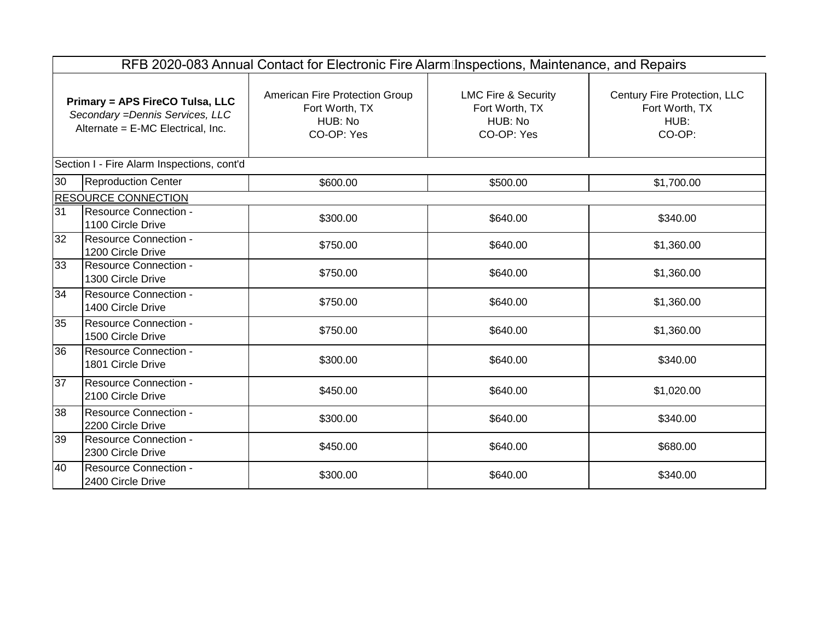|                                                                                                                 | RFB 2020-083 Annual Contact for Electronic Fire Alarm Inspections, Maintenance, and Repairs |                                                                           |                                                                           |                                                                  |  |  |  |  |
|-----------------------------------------------------------------------------------------------------------------|---------------------------------------------------------------------------------------------|---------------------------------------------------------------------------|---------------------------------------------------------------------------|------------------------------------------------------------------|--|--|--|--|
| <b>Primary = APS FireCO Tulsa, LLC</b><br>Secondary = Dennis Services, LLC<br>Alternate = E-MC Electrical, Inc. |                                                                                             | American Fire Protection Group<br>Fort Worth, TX<br>HUB: No<br>CO-OP: Yes | <b>LMC Fire &amp; Security</b><br>Fort Worth, TX<br>HUB: No<br>CO-OP: Yes | Century Fire Protection, LLC<br>Fort Worth, TX<br>HUB:<br>CO-OP: |  |  |  |  |
|                                                                                                                 | Section I - Fire Alarm Inspections, cont'd                                                  |                                                                           |                                                                           |                                                                  |  |  |  |  |
| 30                                                                                                              | <b>Reproduction Center</b>                                                                  | \$600.00                                                                  | \$500.00                                                                  | \$1,700.00                                                       |  |  |  |  |
|                                                                                                                 | <b>RESOURCE CONNECTION</b>                                                                  |                                                                           |                                                                           |                                                                  |  |  |  |  |
| 31                                                                                                              | <b>Resource Connection -</b><br>1100 Circle Drive                                           | \$300.00                                                                  | \$640.00                                                                  | \$340.00                                                         |  |  |  |  |
| 32                                                                                                              | Resource Connection -<br>1200 Circle Drive                                                  | \$750.00                                                                  | \$640.00                                                                  | \$1,360.00                                                       |  |  |  |  |
| 33                                                                                                              | <b>Resource Connection -</b><br>1300 Circle Drive                                           | \$750.00                                                                  | \$640.00                                                                  | \$1,360.00                                                       |  |  |  |  |
| 34                                                                                                              | <b>Resource Connection -</b><br>1400 Circle Drive                                           | \$750.00                                                                  | \$640.00                                                                  | \$1,360.00                                                       |  |  |  |  |
| 35                                                                                                              | <b>Resource Connection -</b><br>1500 Circle Drive                                           | \$750.00                                                                  | \$640.00                                                                  | \$1,360.00                                                       |  |  |  |  |
| 36                                                                                                              | <b>Resource Connection -</b><br>1801 Circle Drive                                           | \$300.00                                                                  | \$640.00                                                                  | \$340.00                                                         |  |  |  |  |
| 37                                                                                                              | Resource Connection -<br>2100 Circle Drive                                                  | \$450.00                                                                  | \$640.00                                                                  | \$1,020.00                                                       |  |  |  |  |
| 38                                                                                                              | <b>Resource Connection -</b><br>2200 Circle Drive                                           | \$300.00                                                                  | \$640.00                                                                  | \$340.00                                                         |  |  |  |  |
| 39                                                                                                              | <b>Resource Connection -</b><br>2300 Circle Drive                                           | \$450.00                                                                  | \$640.00                                                                  | \$680.00                                                         |  |  |  |  |
| 40                                                                                                              | <b>Resource Connection -</b><br>2400 Circle Drive                                           | \$300.00                                                                  | \$640.00                                                                  | \$340.00                                                         |  |  |  |  |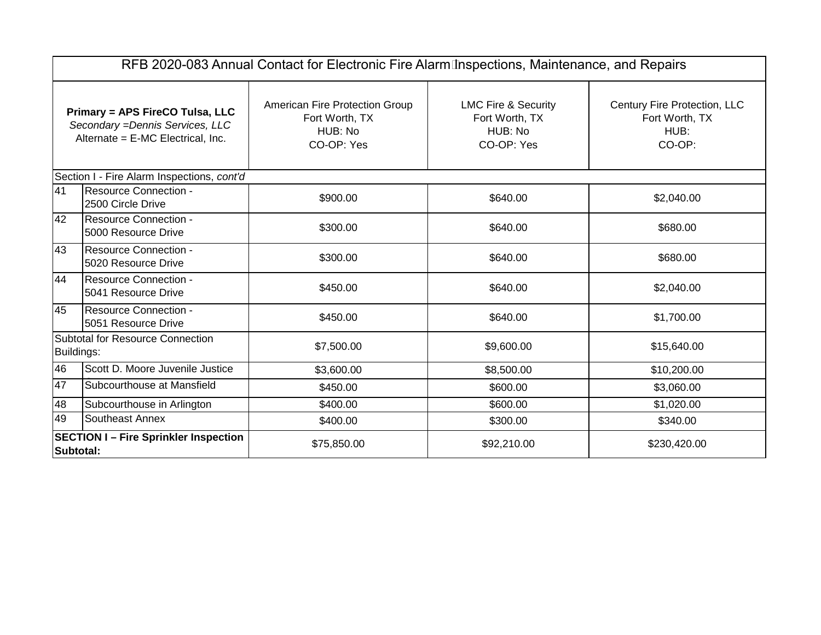|                                                                                                                 | RFB 2020-083 Annual Contact for Electronic Fire Alarm Inspections, Maintenance, and Repairs             |                                                                           |                                                                           |                                                                  |  |  |  |  |
|-----------------------------------------------------------------------------------------------------------------|---------------------------------------------------------------------------------------------------------|---------------------------------------------------------------------------|---------------------------------------------------------------------------|------------------------------------------------------------------|--|--|--|--|
| <b>Primary = APS FireCO Tulsa, LLC</b><br>Secondary = Dennis Services, LLC<br>Alternate = E-MC Electrical, Inc. |                                                                                                         | American Fire Protection Group<br>Fort Worth, TX<br>HUB: No<br>CO-OP: Yes | <b>LMC Fire &amp; Security</b><br>Fort Worth, TX<br>HUB: No<br>CO-OP: Yes | Century Fire Protection, LLC<br>Fort Worth, TX<br>HUB:<br>CO-OP: |  |  |  |  |
|                                                                                                                 | Section I - Fire Alarm Inspections, cont'd                                                              |                                                                           |                                                                           |                                                                  |  |  |  |  |
| 41                                                                                                              | <b>Resource Connection -</b><br>2500 Circle Drive                                                       | \$900.00                                                                  | \$640.00                                                                  | \$2,040.00                                                       |  |  |  |  |
| 42                                                                                                              | Resource Connection -<br>5000 Resource Drive                                                            | \$300.00                                                                  | \$640.00                                                                  | \$680.00                                                         |  |  |  |  |
| 43                                                                                                              | Resource Connection -<br>5020 Resource Drive                                                            | \$300.00                                                                  | \$640.00                                                                  | \$680.00                                                         |  |  |  |  |
| 44                                                                                                              | Resource Connection -<br>5041 Resource Drive                                                            | \$450.00                                                                  | \$640.00                                                                  | \$2,040.00                                                       |  |  |  |  |
| 45                                                                                                              | <b>Resource Connection -</b><br>5051 Resource Drive                                                     | \$450.00                                                                  | \$640.00                                                                  | \$1,700.00                                                       |  |  |  |  |
| Buildings:                                                                                                      | <b>Subtotal for Resource Connection</b>                                                                 | \$7,500.00                                                                | \$9,600.00                                                                | \$15,640.00                                                      |  |  |  |  |
| 46                                                                                                              | Scott D. Moore Juvenile Justice                                                                         | \$3,600.00                                                                | \$8,500.00                                                                | \$10,200.00                                                      |  |  |  |  |
| 47                                                                                                              | Subcourthouse at Mansfield                                                                              | \$450.00                                                                  | \$600.00                                                                  | \$3,060.00                                                       |  |  |  |  |
| 48                                                                                                              | Subcourthouse in Arlington                                                                              | \$400.00                                                                  | \$600.00                                                                  | \$1,020.00                                                       |  |  |  |  |
| 49                                                                                                              | Southeast Annex                                                                                         | \$400.00                                                                  | \$300.00                                                                  | \$340.00                                                         |  |  |  |  |
|                                                                                                                 | <b>SECTION I - Fire Sprinkler Inspection</b><br>\$75,850.00<br>\$92,210.00<br>\$230,420.00<br>Subtotal: |                                                                           |                                                                           |                                                                  |  |  |  |  |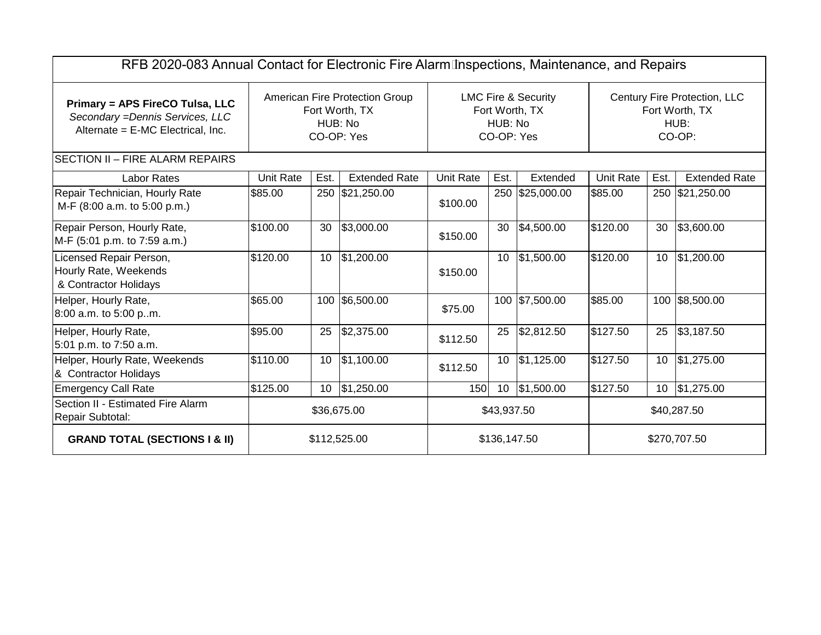| RFB 2020-083 Annual Contact for Electronic Fire Alarm Inspections, Maintenance, and Repairs              |                  |                 |                                                                                  |                  |                       |                                                  |                  |      |                                                                  |
|----------------------------------------------------------------------------------------------------------|------------------|-----------------|----------------------------------------------------------------------------------|------------------|-----------------------|--------------------------------------------------|------------------|------|------------------------------------------------------------------|
| Primary = APS FireCO Tulsa, LLC<br>Secondary = Dennis Services, LLC<br>Alternate = E-MC Electrical, Inc. |                  |                 | <b>American Fire Protection Group</b><br>Fort Worth, TX<br>HUB: No<br>CO-OP: Yes |                  | HUB: No<br>CO-OP: Yes | <b>LMC Fire &amp; Security</b><br>Fort Worth, TX |                  |      | Century Fire Protection, LLC<br>Fort Worth, TX<br>HUB:<br>CO-OP: |
| <b>SECTION II - FIRE ALARM REPAIRS</b>                                                                   |                  |                 |                                                                                  |                  |                       |                                                  |                  |      |                                                                  |
| <b>Labor Rates</b>                                                                                       | <b>Unit Rate</b> | Est.            | <b>Extended Rate</b>                                                             | <b>Unit Rate</b> | Est.                  | Extended                                         | <b>Unit Rate</b> | Est. | <b>Extended Rate</b>                                             |
| Repair Technician, Hourly Rate<br>M-F (8:00 a.m. to 5:00 p.m.)                                           | \$85.00          |                 | 250 \$21,250.00                                                                  | \$100.00         |                       | 250 \$25,000.00                                  | \$85.00          |      | 250 \$21,250.00                                                  |
| Repair Person, Hourly Rate,<br>M-F (5:01 p.m. to 7:59 a.m.)                                              | \$100.00         | 30              | \$3,000.00                                                                       | \$150.00         | 30                    | \$4,500.00                                       | \$120.00         | 30   | \$3,600.00                                                       |
| Licensed Repair Person,<br>Hourly Rate, Weekends<br>& Contractor Holidays                                | \$120.00         | 10 <sup>°</sup> | \$1,200.00                                                                       | \$150.00         | 10                    | \$1,500.00                                       | \$120.00         |      | 10 \$1,200.00                                                    |
| Helper, Hourly Rate,<br>8:00 a.m. to 5:00 p.m.                                                           | \$65.00          |                 | 100 \$6,500.00                                                                   | \$75.00          |                       | 100 \$7,500.00                                   | \$85.00          |      | 100 \$8,500.00                                                   |
| Helper, Hourly Rate,<br>5:01 p.m. to 7:50 a.m.                                                           | \$95.00          | 25              | \$2,375.00                                                                       | \$112.50         | 25                    | \$2,812.50                                       | \$127.50         | 25   | \$3,187.50                                                       |
| Helper, Hourly Rate, Weekends<br>& Contractor Holidays                                                   | \$110.00         | 10 <sup>°</sup> | \$1,100.00                                                                       | \$112.50         | 10 <sup>°</sup>       | \$1,125.00                                       | \$127.50         |      | 10 \$1,275.00                                                    |
| <b>Emergency Call Rate</b>                                                                               | \$125.00         | 10 <sup>°</sup> | \$1,250.00                                                                       | <b>150</b>       | 10                    | \$1,500.00                                       | \$127.50         |      | 10 \$1,275.00                                                    |
| Section II - Estimated Fire Alarm<br>Repair Subtotal:                                                    | \$36,675.00      |                 |                                                                                  | \$43,937.50      |                       | \$40,287.50                                      |                  |      |                                                                  |
| <b>GRAND TOTAL (SECTIONS I &amp; II)</b>                                                                 |                  |                 | \$112,525.00                                                                     |                  | \$136,147.50          |                                                  |                  |      | \$270,707.50                                                     |